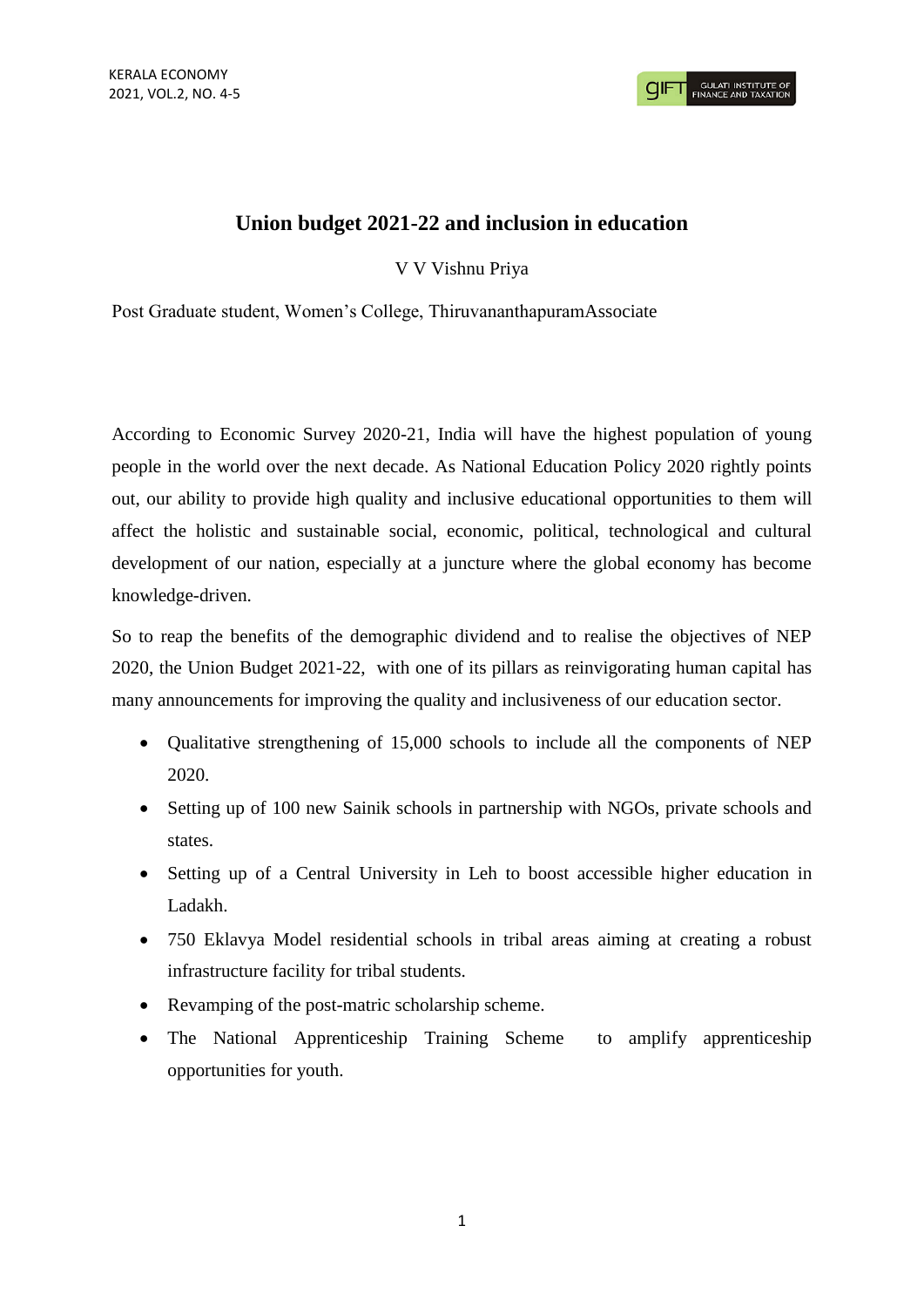## **Union budget 2021-22 and inclusion in education**

V V Vishnu Priya

Post Graduate student, Women's College, ThiruvananthapuramAssociate

According to Economic Survey 2020-21, India will have the highest population of young people in the world over the next decade. As National Education Policy 2020 rightly points out, our ability to provide high quality and inclusive educational opportunities to them will affect the holistic and sustainable social, economic, political, technological and cultural development of our nation, especially at a juncture where the global economy has become knowledge-driven.

So to reap the benefits of the demographic dividend and to realise the objectives of NEP 2020, the Union Budget 2021-22, with one of its pillars as reinvigorating human capital has many announcements for improving the quality and inclusiveness of our education sector.

- Qualitative strengthening of 15,000 schools to include all the components of NEP 2020.
- Setting up of 100 new Sainik schools in partnership with NGOs, private schools and states.
- Setting up of a Central University in Leh to boost accessible higher education in Ladakh.
- 750 Eklavya Model residential schools in tribal areas aiming at creating a robust infrastructure facility for tribal students.
- Revamping of the post-matric scholarship scheme.
- The National Apprenticeship Training Scheme to amplify apprenticeship opportunities for youth.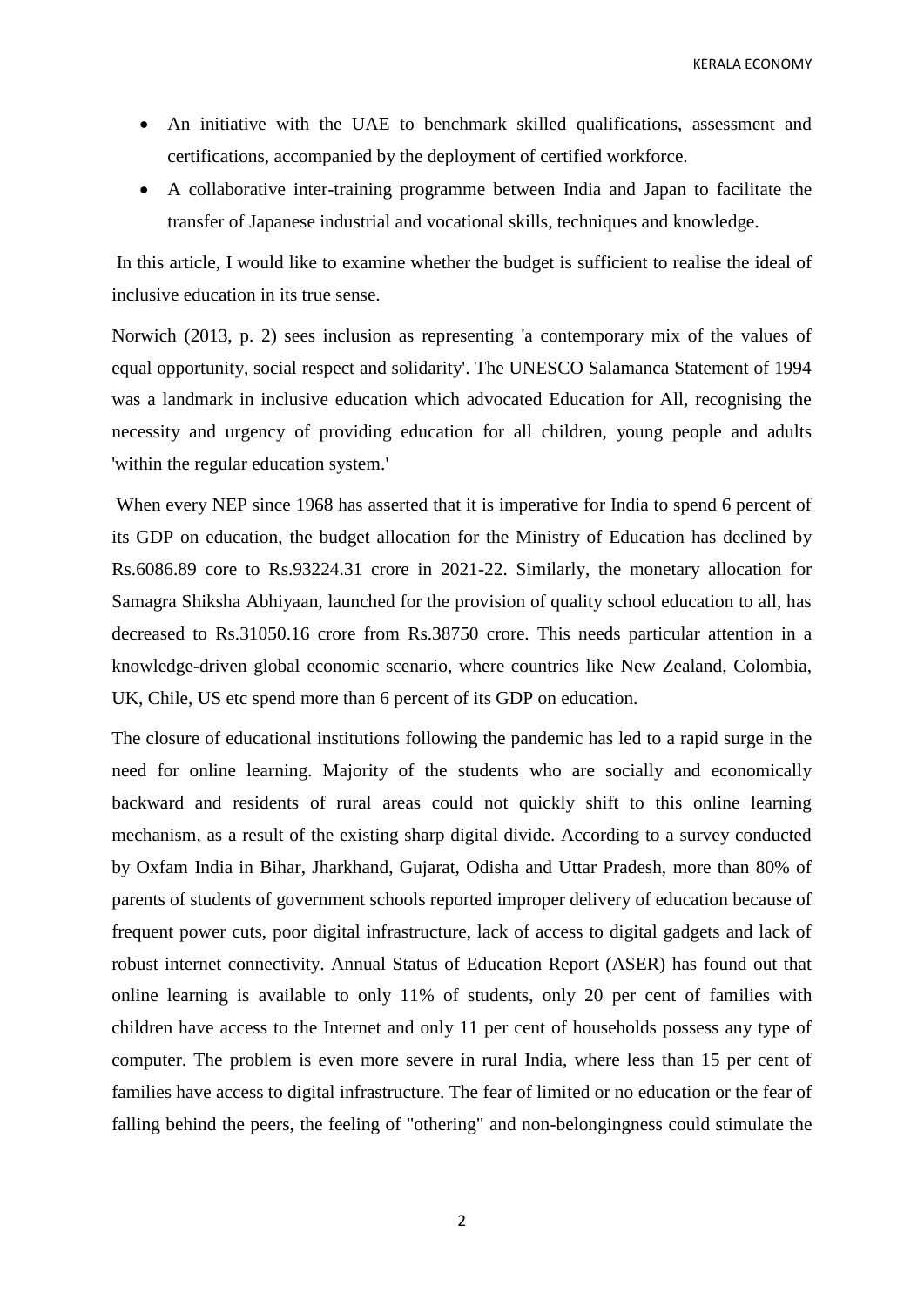KERALA ECONOMY

- An initiative with the UAE to benchmark skilled qualifications, assessment and certifications, accompanied by the deployment of certified workforce.
- A collaborative inter-training programme between India and Japan to facilitate the transfer of Japanese industrial and vocational skills, techniques and knowledge.

In this article, I would like to examine whether the budget is sufficient to realise the ideal of inclusive education in its true sense.

Norwich (2013, p. 2) sees inclusion as representing 'a contemporary mix of the values of equal opportunity, social respect and solidarity'. The UNESCO Salamanca Statement of 1994 was a landmark in inclusive education which advocated Education for All, recognising the necessity and urgency of providing education for all children, young people and adults 'within the regular education system.'

When every NEP since 1968 has asserted that it is imperative for India to spend 6 percent of its GDP on education, the budget allocation for the Ministry of Education has declined by Rs.6086.89 core to Rs.93224.31 crore in 2021-22. Similarly, the monetary allocation for Samagra Shiksha Abhiyaan, launched for the provision of quality school education to all, has decreased to Rs.31050.16 crore from Rs.38750 crore. This needs particular attention in a knowledge-driven global economic scenario, where countries like New Zealand, Colombia, UK, Chile, US etc spend more than 6 percent of its GDP on education.

The closure of educational institutions following the pandemic has led to a rapid surge in the need for online learning. Majority of the students who are socially and economically backward and residents of rural areas could not quickly shift to this online learning mechanism, as a result of the existing sharp digital divide. According to a survey conducted by Oxfam India in Bihar, Jharkhand, Gujarat, Odisha and Uttar Pradesh, more than 80% of parents of students of government schools reported improper delivery of education because of frequent power cuts, poor digital infrastructure, lack of access to digital gadgets and lack of robust internet connectivity. Annual Status of Education Report (ASER) has found out that online learning is available to only 11% of students, only 20 per cent of families with children have access to the Internet and only 11 per cent of households possess any type of computer. The problem is even more severe in rural India, where less than 15 per cent of families have access to digital infrastructure. The fear of limited or no education or the fear of falling behind the peers, the feeling of "othering" and non-belongingness could stimulate the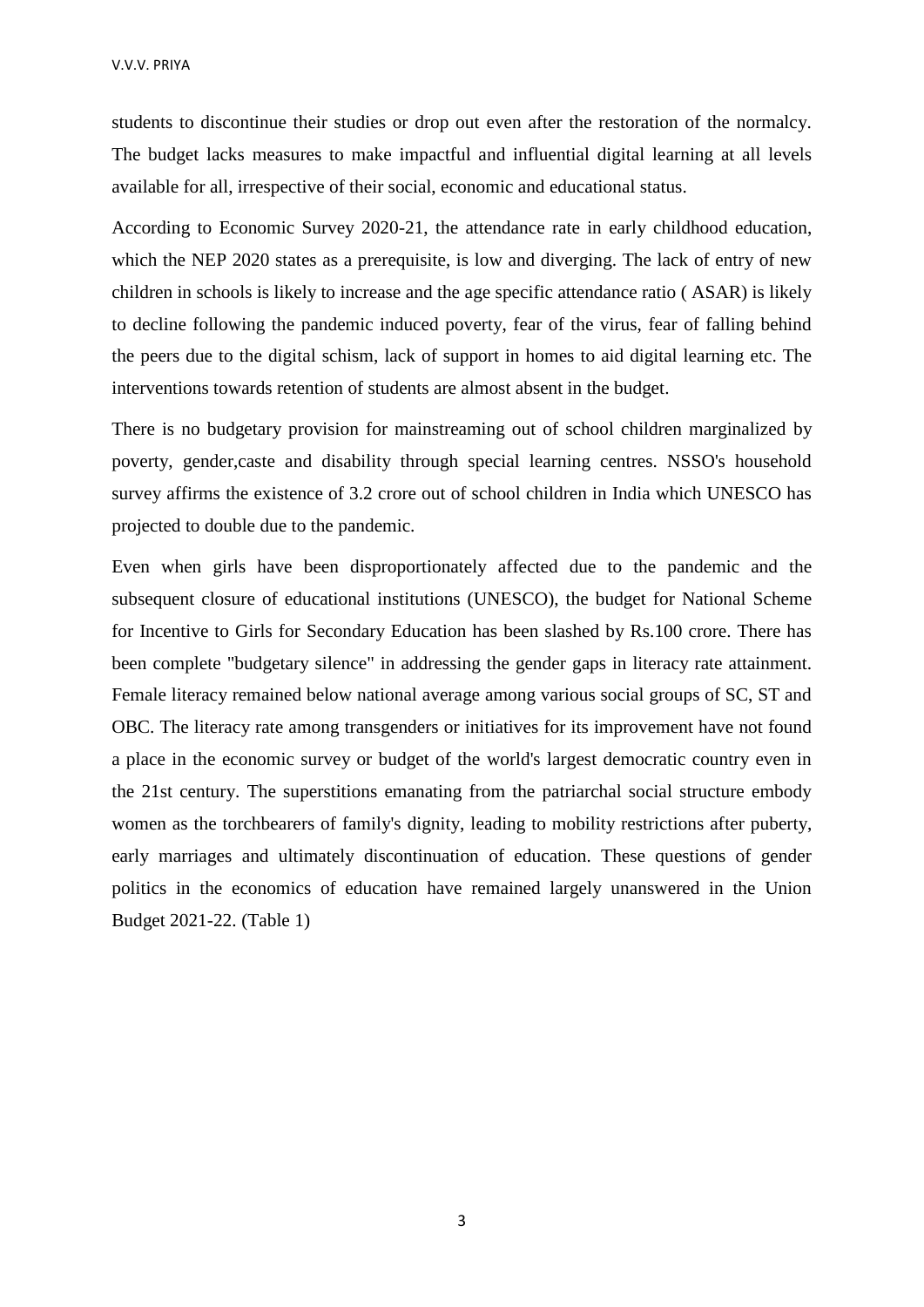students to discontinue their studies or drop out even after the restoration of the normalcy. The budget lacks measures to make impactful and influential digital learning at all levels available for all, irrespective of their social, economic and educational status.

According to Economic Survey 2020-21, the attendance rate in early childhood education, which the NEP 2020 states as a prerequisite, is low and diverging. The lack of entry of new children in schools is likely to increase and the age specific attendance ratio ( ASAR) is likely to decline following the pandemic induced poverty, fear of the virus, fear of falling behind the peers due to the digital schism, lack of support in homes to aid digital learning etc. The interventions towards retention of students are almost absent in the budget.

There is no budgetary provision for mainstreaming out of school children marginalized by poverty, gender,caste and disability through special learning centres. NSSO's household survey affirms the existence of 3.2 crore out of school children in India which UNESCO has projected to double due to the pandemic.

Even when girls have been disproportionately affected due to the pandemic and the subsequent closure of educational institutions (UNESCO), the budget for National Scheme for Incentive to Girls for Secondary Education has been slashed by Rs.100 crore. There has been complete "budgetary silence" in addressing the gender gaps in literacy rate attainment. Female literacy remained below national average among various social groups of SC, ST and OBC. The literacy rate among transgenders or initiatives for its improvement have not found a place in the economic survey or budget of the world's largest democratic country even in the 21st century. The superstitions emanating from the patriarchal social structure embody women as the torchbearers of family's dignity, leading to mobility restrictions after puberty, early marriages and ultimately discontinuation of education. These questions of gender politics in the economics of education have remained largely unanswered in the Union Budget 2021-22. (Table 1)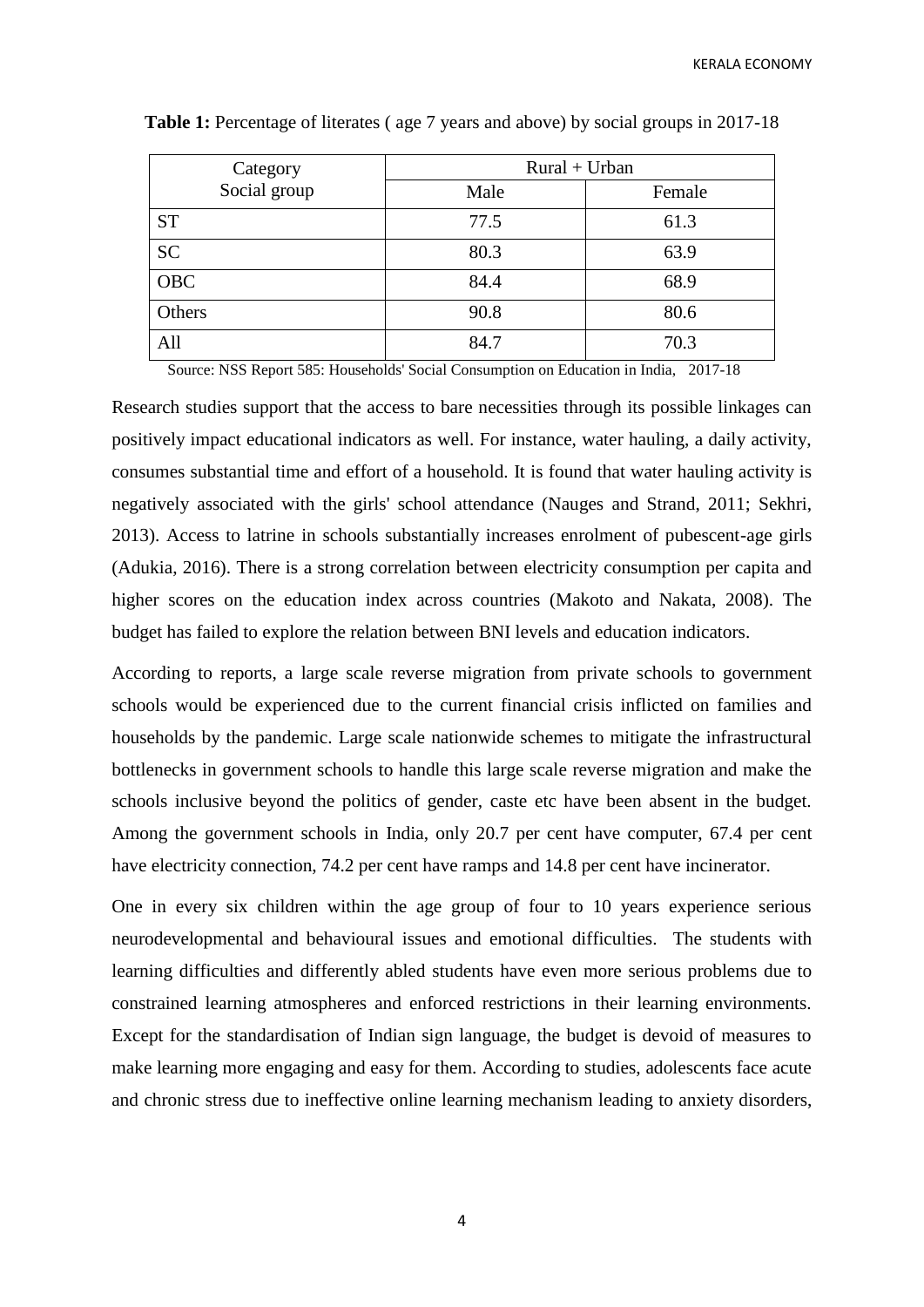KERALA ECONOMY

| Category     | $Rural + Urban$ |        |
|--------------|-----------------|--------|
| Social group | Male            | Female |
| <b>ST</b>    | 77.5            | 61.3   |
| <b>SC</b>    | 80.3            | 63.9   |
| <b>OBC</b>   | 84.4            | 68.9   |
| Others       | 90.8            | 80.6   |
| All          | 84.7            | 70.3   |

**Table 1:** Percentage of literates ( age 7 years and above) by social groups in 2017-18

Source: NSS Report 585: Households' Social Consumption on Education in India, 2017-18

Research studies support that the access to bare necessities through its possible linkages can positively impact educational indicators as well. For instance, water hauling, a daily activity, consumes substantial time and effort of a household. It is found that water hauling activity is negatively associated with the girls' school attendance (Nauges and Strand, 2011; Sekhri, 2013). Access to latrine in schools substantially increases enrolment of pubescent-age girls (Adukia, 2016). There is a strong correlation between electricity consumption per capita and higher scores on the education index across countries (Makoto and Nakata, 2008). The budget has failed to explore the relation between BNI levels and education indicators.

According to reports, a large scale reverse migration from private schools to government schools would be experienced due to the current financial crisis inflicted on families and households by the pandemic. Large scale nationwide schemes to mitigate the infrastructural bottlenecks in government schools to handle this large scale reverse migration and make the schools inclusive beyond the politics of gender, caste etc have been absent in the budget. Among the government schools in India, only 20.7 per cent have computer, 67.4 per cent have electricity connection, 74.2 per cent have ramps and 14.8 per cent have incinerator.

One in every six children within the age group of four to 10 years experience serious neurodevelopmental and behavioural issues and emotional difficulties. The students with learning difficulties and differently abled students have even more serious problems due to constrained learning atmospheres and enforced restrictions in their learning environments. Except for the standardisation of Indian sign language, the budget is devoid of measures to make learning more engaging and easy for them. According to studies, adolescents face acute and chronic stress due to ineffective online learning mechanism leading to anxiety disorders,

4